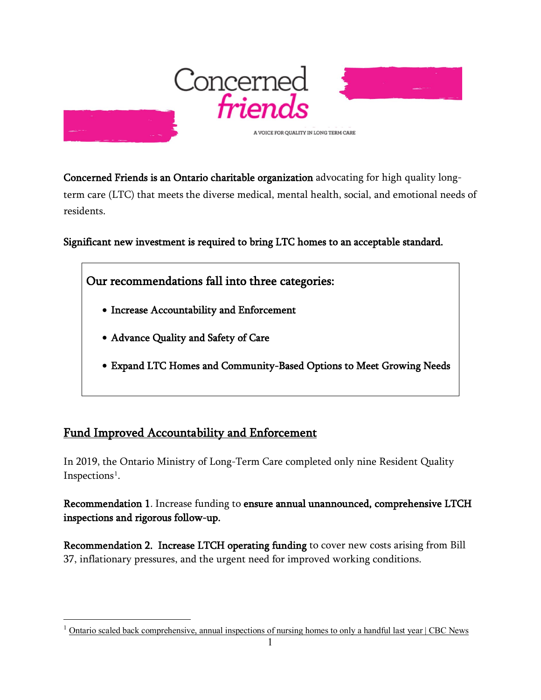

Concerned Friends is an Ontario charitable organization advocating for high quality longterm care (LTC) that meets the diverse medical, mental health, social, and emotional needs of residents.

Significant new investment is required to bring LTC homes to an acceptable standard.

Our recommendations fall into three categories:

- Increase Accountability and Enforcement
- Advance Quality and Safety of Care
- Expand LTC Homes and Community-Based Options to Meet Growing Needs

### Fund Improved Accountability and Enforcement

In 2019, the Ontario Ministry of Long-Term Care completed only nine Resident Quality Inspections<sup>[1](#page-0-0)</sup>.

Recommendation 1. Increase funding to ensure annual unannounced, comprehensive LTCH inspections and rigorous follow-up.

Recommendation 2. Increase LTCH operating funding to cover new costs arising from Bill 37, inflationary pressures, and the urgent need for improved working conditions.

<span id="page-0-0"></span> $1 \text{ Ontario scaled back comprehensive, annual inspections of nursing homes to only a handful last year } | \text{ CBC News}$  $1 \text{ Ontario scaled back comprehensive, annual inspections of nursing homes to only a handful last year } | \text{ CBC News}$  $1 \text{ Ontario scaled back comprehensive, annual inspections of nursing homes to only a handful last year } | \text{ CBC News}$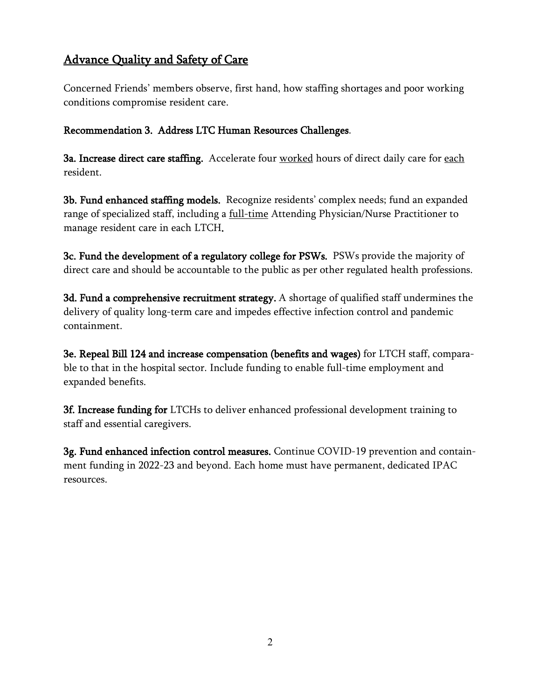# Advance Quality and Safety of Care

Concerned Friends' members observe, first hand, how staffing shortages and poor working conditions compromise resident care.

#### Recommendation 3. Address LTC Human Resources Challenges.

3a. Increase direct care staffing. Accelerate four worked hours of direct daily care for each resident.

3b. Fund enhanced staffing models. Recognize residents' complex needs; fund an expanded range of specialized staff, including a full-time Attending Physician/Nurse Practitioner to manage resident care in each LTCH.

3c. Fund the development of a regulatory college for PSWs. PSWs provide the majority of direct care and should be accountable to the public as per other regulated health professions.

3d. Fund a comprehensive recruitment strategy. A shortage of qualified staff undermines the delivery of quality long-term care and impedes effective infection control and pandemic containment.

3e. Repeal Bill 124 and increase compensation (benefits and wages) for LTCH staff, comparable to that in the hospital sector. Include funding to enable full-time employment and expanded benefits.

3f. Increase funding for LTCHs to deliver enhanced professional development training to staff and essential caregivers.

3g. Fund enhanced infection control measures. Continue COVID-19 prevention and containment funding in 2022-23 and beyond. Each home must have permanent, dedicated IPAC resources.